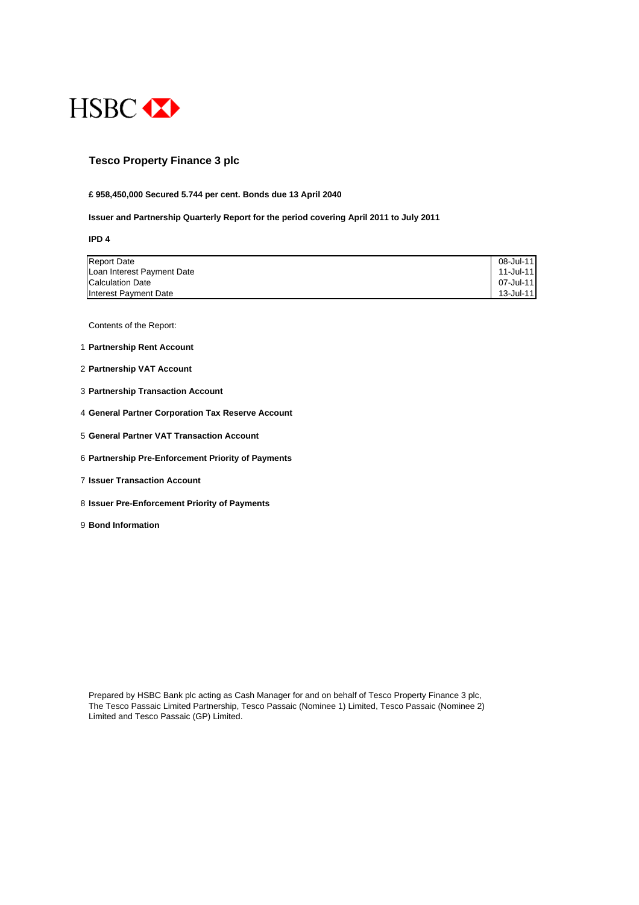

## **Tesco Property Finance 3 plc**

#### **£ 958,450,000 Secured 5.744 per cent. Bonds due 13 April 2040**

#### **Issuer and Partnership Quarterly Report for the period covering April 2011 to July 2011**

**IPD 4**

| <b>Report Date</b>         | 08-Jul-11 |
|----------------------------|-----------|
| Loan Interest Payment Date | 11-Jul-11 |
| <b>Calculation Date</b>    | 07-Jul-11 |
| Interest Payment Date      | 13-Jul-11 |

Contents of the Report:

- 1 **Partnership Rent Account**
- 2 **Partnership VAT Account**
- 3 **Partnership Transaction Account**
- 4 **General Partner Corporation Tax Reserve Account**
- 5 **General Partner VAT Transaction Account**
- 6 **Partnership Pre-Enforcement Priority of Payments**
- 7 **Issuer Transaction Account**
- 8 **Issuer Pre-Enforcement Priority of Payments**
- 9 **Bond Information**

Prepared by HSBC Bank plc acting as Cash Manager for and on behalf of Tesco Property Finance 3 plc, The Tesco Passaic Limited Partnership, Tesco Passaic (Nominee 1) Limited, Tesco Passaic (Nominee 2) Limited and Tesco Passaic (GP) Limited.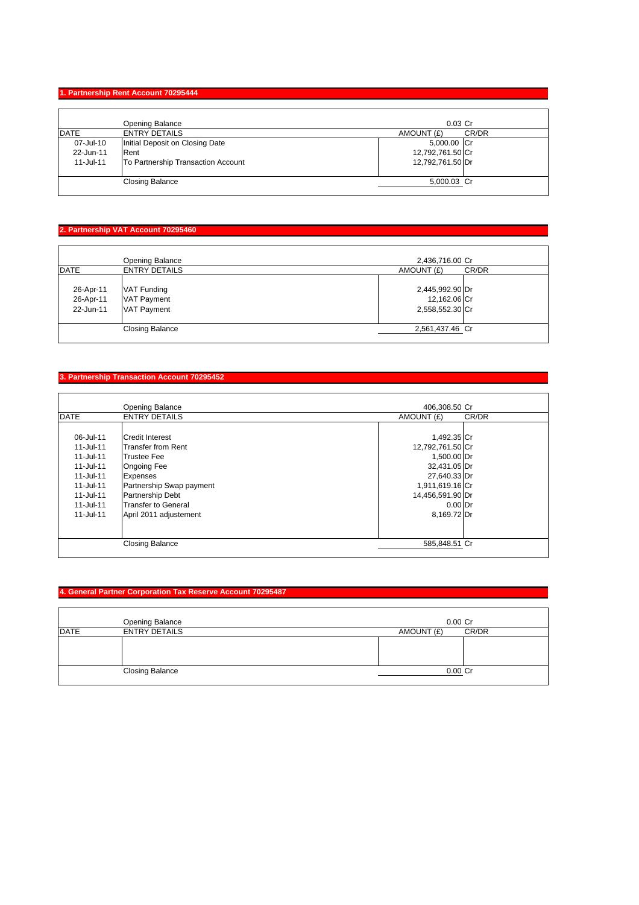#### **1. Partnership Rent Account 70295444**

|             | Opening Balance                    | $0.03$ Cr        |       |
|-------------|------------------------------------|------------------|-------|
| <b>DATE</b> | <b>ENTRY DETAILS</b>               | AMOUNT (£)       | CR/DR |
| 07-Jul-10   | Initial Deposit on Closing Date    | 5,000.00 Cr      |       |
| 22-Jun-11   | Rent                               | 12,792,761.50 Cr |       |
| 11-Jul-11   | To Partnership Transaction Account | 12,792,761.50 Dr |       |
|             | <b>Closing Balance</b>             | 5,000.03 Cr      |       |

## **2. Partnership VAT Account 70295460**

|                                     | Opening Balance                                         | 2,436,716.00 Cr                                    |       |
|-------------------------------------|---------------------------------------------------------|----------------------------------------------------|-------|
| <b>DATE</b>                         | <b>ENTRY DETAILS</b>                                    | AMOUNT (£)                                         | CR/DR |
| 26-Apr-11<br>26-Apr-11<br>22-Jun-11 | VAT Funding<br><b>VAT Payment</b><br><b>VAT Payment</b> | 2,445,992.90 Dr<br>12,162.06 Cr<br>2,558,552.30 Cr |       |
|                                     | <b>Closing Balance</b>                                  | 2,561,437.46 Cr                                    |       |

## **3. Partnership Transaction Account 70295452**

|               | Opening Balance           | 406.308.50 Cr    |       |
|---------------|---------------------------|------------------|-------|
| <b>DATE</b>   | <b>ENTRY DETAILS</b>      | AMOUNT (£)       | CR/DR |
|               |                           |                  |       |
| 06-Jul-11     | Credit Interest           | 1,492.35 Cr      |       |
| $11 -$ Jul-11 | <b>Transfer from Rent</b> | 12,792,761.50 Cr |       |
| 11-Jul-11     | <b>Trustee Fee</b>        | 1,500.00 Dr      |       |
| 11-Jul-11     | <b>Ongoing Fee</b>        | 32,431.05 Dr     |       |
| 11-Jul-11     | <b>Expenses</b>           | 27,640.33 Dr     |       |
| $11 -$ Jul-11 | Partnership Swap payment  | 1,911,619.16 Cr  |       |
| 11-Jul-11     | <b>Partnership Debt</b>   | 14,456,591.90 Dr |       |
| 11-Jul-11     | Transfer to General       | $0.00$ Dr        |       |
| 11-Jul-11     | April 2011 adjustement    | 8,169.72 Dr      |       |
|               |                           |                  |       |
|               | <b>Closing Balance</b>    | 585,848.51 Cr    |       |
|               |                           |                  |       |

## **4. General Partner Corporation Tax Reserve Account 70295487**

|             | Opening Balance        | $0.00$ Cr  |       |
|-------------|------------------------|------------|-------|
| <b>DATE</b> | <b>ENTRY DETAILS</b>   | AMOUNT (£) | CR/DR |
|             |                        |            |       |
|             | <b>Closing Balance</b> | $0.00$ Cr  |       |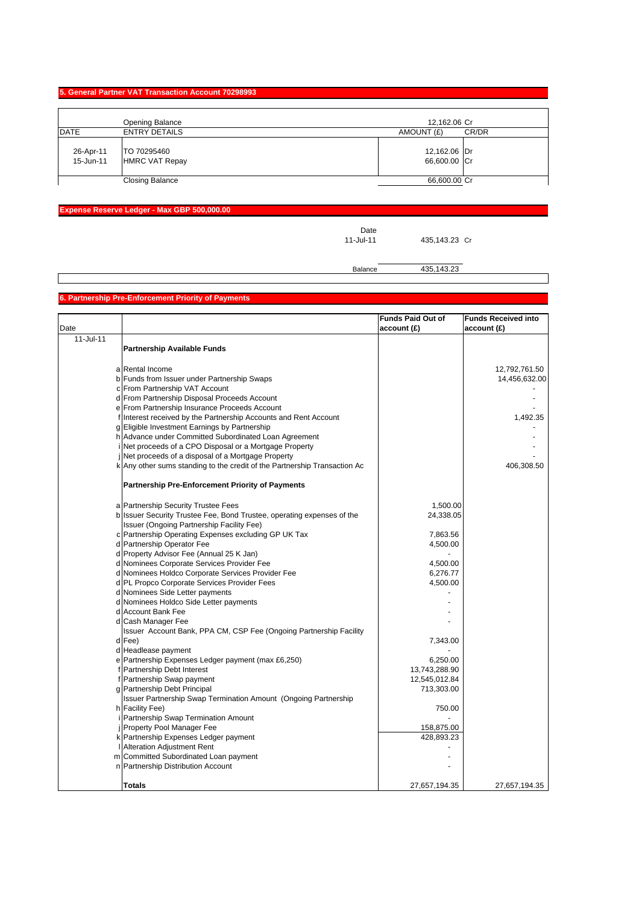#### **5. General Partner VAT Transaction Account 70298993**

|                        | Opening Balance                      | 12,162.06 Cr                 |
|------------------------|--------------------------------------|------------------------------|
| <b>DATE</b>            | <b>ENTRY DETAILS</b>                 | AMOUNT (£)<br>CR/DR          |
| 26-Apr-11<br>15-Jun-11 | TO 70295460<br><b>HMRC VAT Repay</b> | 12,162.06 Dr<br>66,600.00 Cr |
|                        | <b>Closing Balance</b>               | 66,600.00 Cr                 |

## **Expense Reserve Ledger - Max GBP 500,000.00**

Date<br>11-Jul-11

435,143.23 Cr

Balance 435,143.23

## **6. Partnership Pre-Enforcement Priority of Payments**

|           |                                                                           | <b>Funds Paid Out of</b> | <b>Funds Received into</b> |
|-----------|---------------------------------------------------------------------------|--------------------------|----------------------------|
| Date      |                                                                           | account(E)               | account(E)                 |
| 11-Jul-11 |                                                                           |                          |                            |
|           | <b>Partnership Available Funds</b>                                        |                          |                            |
|           |                                                                           |                          |                            |
|           | a Rental Income                                                           |                          | 12,792,761.50              |
|           | b Funds from Issuer under Partnership Swaps                               |                          | 14,456,632.00              |
|           | c From Partnership VAT Account                                            |                          |                            |
|           | d From Partnership Disposal Proceeds Account                              |                          |                            |
|           | e From Partnership Insurance Proceeds Account                             |                          |                            |
|           | f Interest received by the Partnership Accounts and Rent Account          |                          | 1,492.35                   |
|           | g Eligible Investment Earnings by Partnership                             |                          |                            |
|           | h Advance under Committed Subordinated Loan Agreement                     |                          |                            |
|           | i Net proceeds of a CPO Disposal or a Mortgage Property                   |                          |                            |
|           | Net proceeds of a disposal of a Mortgage Property                         |                          |                            |
|           | k Any other sums standing to the credit of the Partnership Transaction Ac |                          | 406,308.50                 |
|           | <b>Partnership Pre-Enforcement Priority of Payments</b>                   |                          |                            |
|           |                                                                           |                          |                            |
|           | a Partnership Security Trustee Fees                                       | 1,500.00                 |                            |
|           | b Issuer Security Trustee Fee, Bond Trustee, operating expenses of the    | 24,338.05                |                            |
|           | Issuer (Ongoing Partnership Facility Fee)                                 |                          |                            |
|           | c Partnership Operating Expenses excluding GP UK Tax                      | 7,863.56                 |                            |
|           | d Partnership Operator Fee                                                | 4,500.00                 |                            |
|           | d Property Advisor Fee (Annual 25 K Jan)                                  |                          |                            |
|           | d Nominees Corporate Services Provider Fee                                | 4,500.00                 |                            |
|           | d Nominees Holdco Corporate Services Provider Fee                         | 6,276.77                 |                            |
|           | d PL Propco Corporate Services Provider Fees                              | 4,500.00                 |                            |
|           | d Nominees Side Letter payments                                           |                          |                            |
|           | d Nominees Holdco Side Letter payments                                    |                          |                            |
|           | d Account Bank Fee                                                        |                          |                            |
|           | d Cash Manager Fee                                                        |                          |                            |
|           | Issuer Account Bank, PPA CM, CSP Fee (Ongoing Partnership Facility        |                          |                            |
|           | d Fee)                                                                    | 7,343.00                 |                            |
|           | d Headlease payment                                                       |                          |                            |
|           | e Partnership Expenses Ledger payment (max £6,250)                        | 6,250.00                 |                            |
|           | f Partnership Debt Interest                                               | 13,743,288.90            |                            |
|           | f Partnership Swap payment                                                | 12,545,012.84            |                            |
|           | g Partnership Debt Principal                                              | 713,303.00               |                            |
|           | <b>Issuer Partnership Swap Termination Amount (Ongoing Partnership</b>    |                          |                            |
|           | h Facility Fee)                                                           | 750.00                   |                            |
|           | i Partnership Swap Termination Amount                                     |                          |                            |
|           | j Property Pool Manager Fee                                               | 158,875.00               |                            |
|           | k Partnership Expenses Ledger payment                                     | 428,893.23               |                            |
|           | <b>Alteration Adjustment Rent</b>                                         |                          |                            |
|           | m Committed Subordinated Loan payment                                     |                          |                            |
|           | n Partnership Distribution Account                                        |                          |                            |
|           | Totals                                                                    | 27,657,194.35            | 27,657,194.35              |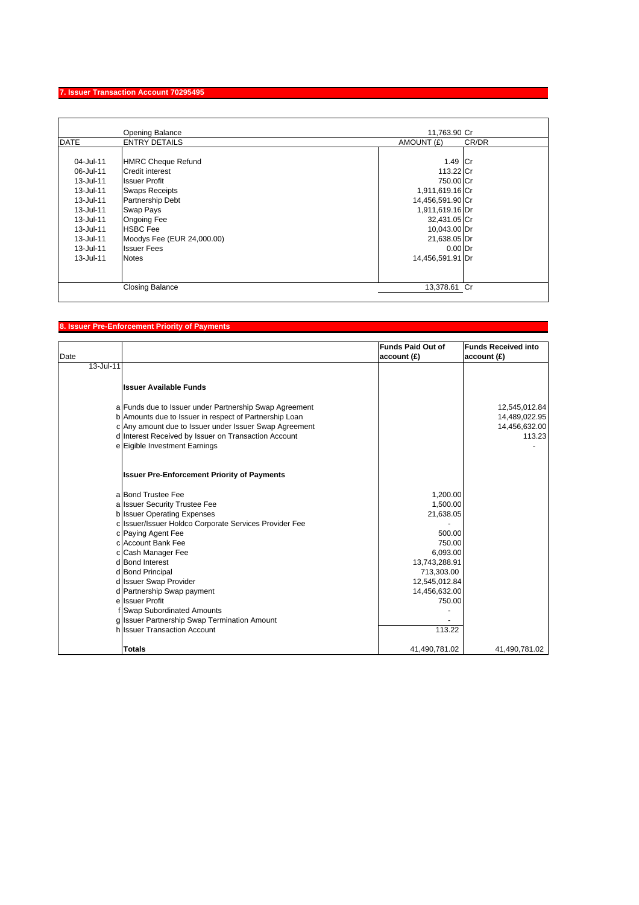## **7. Issuer Transaction Account 70295495**

|             | Opening Balance            | 11,763.90 Cr     |       |
|-------------|----------------------------|------------------|-------|
| <b>DATE</b> | <b>ENTRY DETAILS</b>       | AMOUNT (£)       | CR/DR |
|             |                            |                  |       |
| 04-Jul-11   | <b>HMRC Cheque Refund</b>  | 1.49 Cr          |       |
| 06-Jul-11   | <b>Credit interest</b>     | 113.22 Cr        |       |
| 13-Jul-11   | <b>Issuer Profit</b>       | 750.00 Cr        |       |
| 13-Jul-11   | <b>Swaps Receipts</b>      | 1,911,619.16 Cr  |       |
| 13-Jul-11   | Partnership Debt           | 14,456,591.90 Cr |       |
| 13-Jul-11   | <b>Swap Pays</b>           | 1,911,619.16 Dr  |       |
| 13-Jul-11   | <b>Ongoing Fee</b>         | 32,431.05 Cr     |       |
| 13-Jul-11   | <b>HSBC</b> Fee            | 10,043.00 Dr     |       |
| 13-Jul-11   | Moodys Fee (EUR 24,000.00) | 21,638.05 Dr     |       |
| 13-Jul-11   | <b>Issuer Fees</b>         | $0.00$ Dr        |       |
| 13-Jul-11   | <b>Notes</b>               | 14,456,591.91 Dr |       |
|             |                            |                  |       |
|             | <b>Closing Balance</b>     | 13,378.61 Cr     |       |

# **8. Issuer Pre-Enforcement Priority of Payments**

| Date      |                                                                              | <b>Funds Paid Out of</b><br>account(E) | <b>Funds Received into</b><br>account(E) |
|-----------|------------------------------------------------------------------------------|----------------------------------------|------------------------------------------|
| 13-Jul-11 |                                                                              |                                        |                                          |
|           | <b>Issuer Available Funds</b>                                                |                                        |                                          |
|           | a Funds due to Issuer under Partnership Swap Agreement                       |                                        | 12,545,012.84                            |
|           | b Amounts due to Issuer in respect of Partnership Loan                       |                                        | 14,489,022.95                            |
|           | c Any amount due to Issuer under Issuer Swap Agreement                       |                                        | 14,456,632.00                            |
|           | d Interest Received by Issuer on Transaction Account                         |                                        | 113.23                                   |
|           | e Eigible Investment Earnings                                                |                                        |                                          |
|           | <b>Issuer Pre-Enforcement Priority of Payments</b>                           |                                        |                                          |
|           | a Bond Trustee Fee                                                           | 1,200.00                               |                                          |
|           | a Issuer Security Trustee Fee                                                | 1,500.00                               |                                          |
|           | b Issuer Operating Expenses                                                  | 21,638.05                              |                                          |
|           | c Issuer/Issuer Holdco Corporate Services Provider Fee                       |                                        |                                          |
|           | c Paying Agent Fee                                                           | 500.00                                 |                                          |
|           | c Account Bank Fee                                                           | 750.00                                 |                                          |
|           | c Cash Manager Fee                                                           | 6,093.00                               |                                          |
|           | d Bond Interest                                                              | 13,743,288.91                          |                                          |
|           | d Bond Principal                                                             | 713,303.00                             |                                          |
|           | d Issuer Swap Provider                                                       | 12,545,012.84                          |                                          |
|           | d Partnership Swap payment                                                   | 14,456,632.00                          |                                          |
|           | e Issuer Profit                                                              | 750.00                                 |                                          |
|           | f Swap Subordinated Amounts                                                  |                                        |                                          |
|           | g Issuer Partnership Swap Termination Amount<br>h Issuer Transaction Account |                                        |                                          |
|           |                                                                              | 113.22                                 |                                          |
|           | <b>Totals</b>                                                                | 41,490,781.02                          | 41,490,781.02                            |